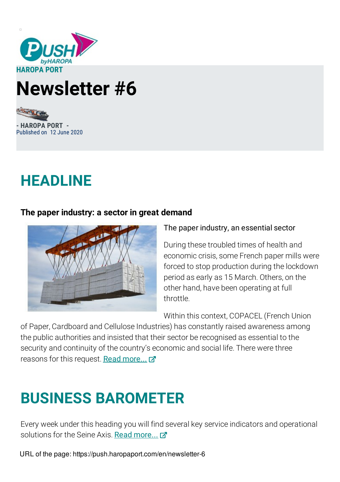

# **Newsletter #6**

**- HAROPA PORT -** Published on 12 June 2020

### **HEADLINE**

#### **The paper industry: a sector in great demand**



#### The paper industry, an essential sector

During these troubled times of health and economic crisis, some French paper mills were forced to stop production during the lockdown period as early as 15 March. Others, on the other hand, have been operating at full throttle.

Within this context, COPACEL (French Union

of Paper, Cardboard and Cellulose Industries) has constantly raised awareness among the public authorities and insisted that their sector be recognised as essential to the security and continuity of the country's economic and social life. There were three reasons for this request. Read [more...](https://push.haropaports.com/en/newsletter-6-june-2020-headline)

## **BUSINESS BAROMETER**

Every week under this heading you will find several key service indicators and operational solutions for the Seine Axis. Read [more...](https://push.haropaports.com/en/newsletter-6-june-2020-barometer)

URL of the page: https://push.haropaport.com/en/newsletter-6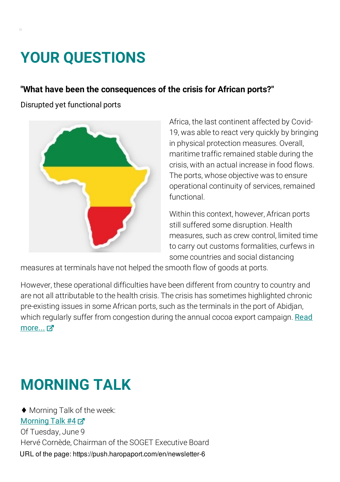## **YOUR QUESTIONS**

### **"What have been the consequences of the crisis for African ports?"**

Disrupted yet functional ports



Africa, the last continent affected by Covid-19, was able to react very quickly by bringing in physical protection measures. Overall, maritime traffic remained stable during the crisis, with an actual increase in food flows. The ports, whose objective was to ensure operational continuity of services, remained functional.

Within this context, however, African ports still suffered some disruption. Health measures, such as crew control, limited time to carry out customs formalities, curfews in some countries and social distancing

measures at terminals have not helped the smooth flow of goods at ports.

However, these operational difficulties have been different from country to country and are not all attributable to the health crisis. The crisis has sometimes highlighted chronic pre-existing issues in some African ports, such as the terminals in the port of Abidjan, which regularly suffer from [congestion](https://push.haropaports.com/en/newsletter-6-june-2020-your-questions) during the annual cocoa export campaign. Read more... Z

### **MORNING TALK**

♦ Morning Talk of the week: [Morning](https://www.youtube.com/watch?v=knTEGexNa-w) Talk #4 7 Of Tuesday, June 9 Hervé Cornède, Chairman of the SOGET Executive Board URL of the page: https://push.haropaport.com/en/newsletter-6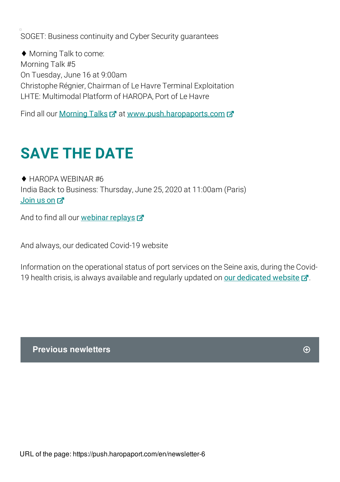SOGET: Business continuity and Cyber Security guarantees

♦ Morning Talk to come: Morning Talk #5 On Tuesday, June 16 at 9:00am Christophe Régnier, Chairman of Le Havre Terminal Exploitation LHTE: Multimodal Platform of HAROPA, Port of Le Havre

Find all our [Morning](https://push.haropaports.com/en/morning-talk) Talks  $\vec{a}$  at [www.push.haropaports.com](https://push.haropaports.com/fr)  $\vec{a}$ 

## **SAVE THE DATE**

♦ HAROPA WEBINAR #6 India Back to Business: Thursday, June 25, 2020 at 11:00am (Paris) [Join](https://app.livestorm.co/haropa-3/webinar-haropa-india-edition) us on M

And to find all our [webinar](https://push.haropaports.com/en/webinar) replays  $\vec{A}$ 

And always, our dedicated Covid-19 website

Information on the operational status of port services on the Seine axis, during the Covid19 health crisis, is always available and regularly updated on our [dedicated](https://push.haropaports.com/en/operational-information-covid-19) website  $\mathbb{Z}$ .

**Previous newletters**